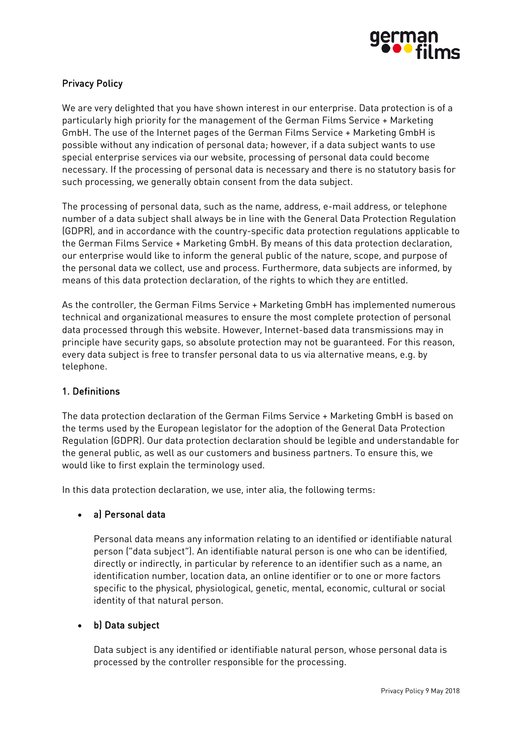

# Privacy Policy

We are very delighted that you have shown interest in our enterprise. Data protection is of a particularly high priority for the management of the German Films Service + Marketing GmbH. The use of the Internet pages of the German Films Service + Marketing GmbH is possible without any indication of personal data; however, if a data subject wants to use special enterprise services via our website, processing of personal data could become necessary. If the processing of personal data is necessary and there is no statutory basis for such processing, we generally obtain consent from the data subject.

The processing of personal data, such as the name, address, e-mail address, or telephone number of a data subject shall always be in line with the General Data Protection Regulation (GDPR), and in accordance with the country-specific data protection regulations applicable to the German Films Service + Marketing GmbH. By means of this data protection declaration, our enterprise would like to inform the general public of the nature, scope, and purpose of the personal data we collect, use and process. Furthermore, data subjects are informed, by means of this data protection declaration, of the rights to which they are entitled.

As the controller, the German Films Service + Marketing GmbH has implemented numerous technical and organizational measures to ensure the most complete protection of personal data processed through this website. However, Internet-based data transmissions may in principle have security gaps, so absolute protection may not be guaranteed. For this reason, every data subject is free to transfer personal data to us via alternative means, e.g. by telephone.

## 1. Definitions

The data protection declaration of the German Films Service + Marketing GmbH is based on the terms used by the European legislator for the adoption of the General Data Protection Regulation (GDPR). Our data protection declaration should be legible and understandable for the general public, as well as our customers and business partners. To ensure this, we would like to first explain the terminology used.

In this data protection declaration, we use, inter alia, the following terms:

#### • a) Personal data

Personal data means any information relating to an identified or identifiable natural person ("data subject"). An identifiable natural person is one who can be identified, directly or indirectly, in particular by reference to an identifier such as a name, an identification number, location data, an online identifier or to one or more factors specific to the physical, physiological, genetic, mental, economic, cultural or social identity of that natural person.

## • b) Data subject

Data subject is any identified or identifiable natural person, whose personal data is processed by the controller responsible for the processing.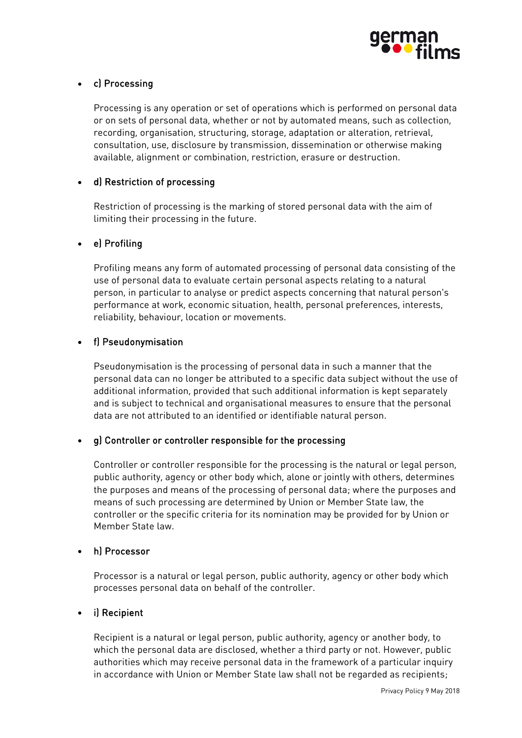

# • c) Processing

Processing is any operation or set of operations which is performed on personal data or on sets of personal data, whether or not by automated means, such as collection, recording, organisation, structuring, storage, adaptation or alteration, retrieval, consultation, use, disclosure by transmission, dissemination or otherwise making available, alignment or combination, restriction, erasure or destruction.

## • d) Restriction of processing

Restriction of processing is the marking of stored personal data with the aim of limiting their processing in the future.

### • e) Profiling

Profiling means any form of automated processing of personal data consisting of the use of personal data to evaluate certain personal aspects relating to a natural person, in particular to analyse or predict aspects concerning that natural person's performance at work, economic situation, health, personal preferences, interests, reliability, behaviour, location or movements.

### • f) Pseudonymisation

Pseudonymisation is the processing of personal data in such a manner that the personal data can no longer be attributed to a specific data subject without the use of additional information, provided that such additional information is kept separately and is subject to technical and organisational measures to ensure that the personal data are not attributed to an identified or identifiable natural person.

## • g) Controller or controller responsible for the processing

Controller or controller responsible for the processing is the natural or legal person, public authority, agency or other body which, alone or jointly with others, determines the purposes and means of the processing of personal data; where the purposes and means of such processing are determined by Union or Member State law, the controller or the specific criteria for its nomination may be provided for by Union or Member State law.

#### • h) Processor

Processor is a natural or legal person, public authority, agency or other body which processes personal data on behalf of the controller.

#### • i) Recipient

Recipient is a natural or legal person, public authority, agency or another body, to which the personal data are disclosed, whether a third party or not. However, public authorities which may receive personal data in the framework of a particular inquiry in accordance with Union or Member State law shall not be regarded as recipients;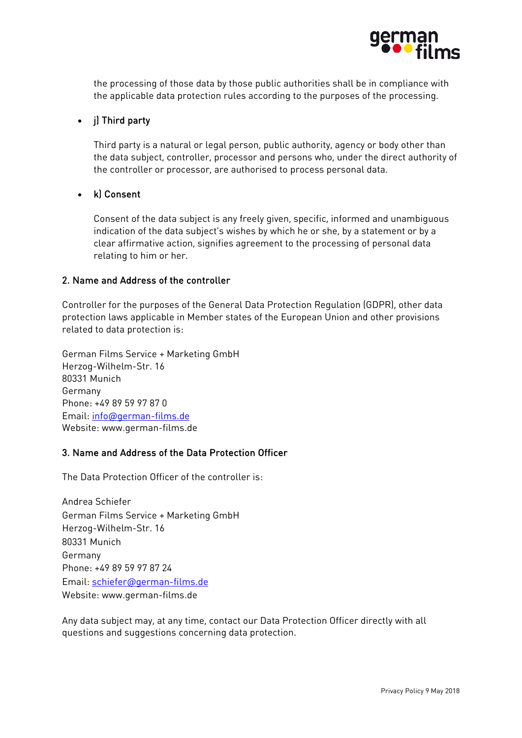

the processing of those data by those public authorities shall be in compliance with the applicable data protection rules according to the purposes of the processing.

## • j) Third party

Third party is a natural or legal person, public authority, agency or body other than the data subject, controller, processor and persons who, under the direct authority of the controller or processor, are authorised to process personal data.

### • k) Consent

Consent of the data subject is any freely given, specific, informed and unambiguous indication of the data subject's wishes by which he or she, by a statement or by a clear affirmative action, signifies agreement to the processing of personal data relating to him or her.

#### 2. Name and Address of the controller

Controller for the purposes of the General Data Protection Regulation (GDPR), other data protection laws applicable in Member states of the European Union and other provisions related to data protection is:

German Films Service + Marketing GmbH Herzog-Wilhelm-Str. 16 80331 Munich Germany Phone: +49 89 59 97 87 0 Email: [info@german-films.de](mailto:info@german-films.de) Website: www.german-films.de

#### 3. Name and Address of the Data Protection Officer

The Data Protection Officer of the controller is:

Andrea Schiefer German Films Service + Marketing GmbH Herzog-Wilhelm-Str. 16 80331 Munich Germany Phone: +49 89 59 97 87 24 Email: [schiefer@german-films.de](mailto:schiefer@german-films.de) Website: www.german-films.de

Any data subject may, at any time, contact our Data Protection Officer directly with all questions and suggestions concerning data protection.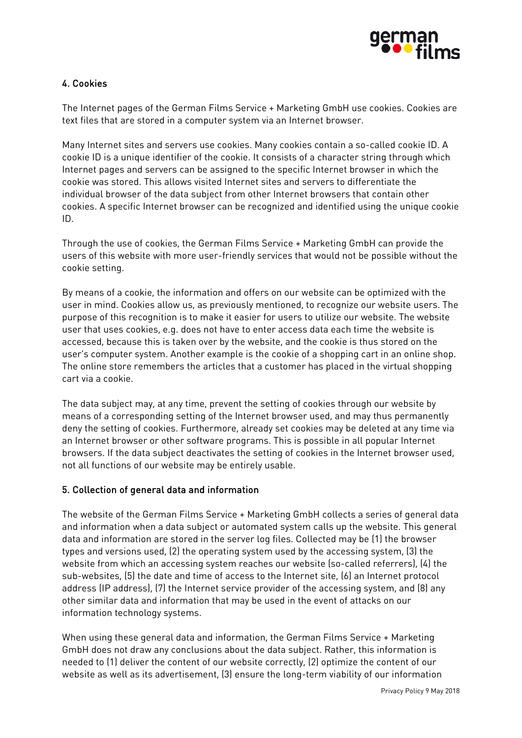

# 4. Cookies

The Internet pages of the German Films Service + Marketing GmbH use cookies. Cookies are text files that are stored in a computer system via an Internet browser.

Many Internet sites and servers use cookies. Many cookies contain a so-called cookie ID. A cookie ID is a unique identifier of the cookie. It consists of a character string through which Internet pages and servers can be assigned to the specific Internet browser in which the cookie was stored. This allows visited Internet sites and servers to differentiate the individual browser of the data subject from other Internet browsers that contain other cookies. A specific Internet browser can be recognized and identified using the unique cookie ID.

Through the use of cookies, the German Films Service + Marketing GmbH can provide the users of this website with more user-friendly services that would not be possible without the cookie setting.

By means of a cookie, the information and offers on our website can be optimized with the user in mind. Cookies allow us, as previously mentioned, to recognize our website users. The purpose of this recognition is to make it easier for users to utilize our website. The website user that uses cookies, e.g. does not have to enter access data each time the website is accessed, because this is taken over by the website, and the cookie is thus stored on the user's computer system. Another example is the cookie of a shopping cart in an online shop. The online store remembers the articles that a customer has placed in the virtual shopping cart via a cookie.

The data subject may, at any time, prevent the setting of cookies through our website by means of a corresponding setting of the Internet browser used, and may thus permanently deny the setting of cookies. Furthermore, already set cookies may be deleted at any time via an Internet browser or other software programs. This is possible in all popular Internet browsers. If the data subject deactivates the setting of cookies in the Internet browser used, not all functions of our website may be entirely usable.

## 5. Collection of general data and information

The website of the German Films Service + Marketing GmbH collects a series of general data and information when a data subject or automated system calls up the website. This general data and information are stored in the server log files. Collected may be (1) the browser types and versions used, (2) the operating system used by the accessing system, (3) the website from which an accessing system reaches our website (so-called referrers), (4) the sub-websites, (5) the date and time of access to the Internet site, (6) an Internet protocol address (IP address), (7) the Internet service provider of the accessing system, and (8) any other similar data and information that may be used in the event of attacks on our information technology systems.

When using these general data and information, the German Films Service + Marketing GmbH does not draw any conclusions about the data subject. Rather, this information is needed to (1) deliver the content of our website correctly, (2) optimize the content of our website as well as its advertisement, (3) ensure the long-term viability of our information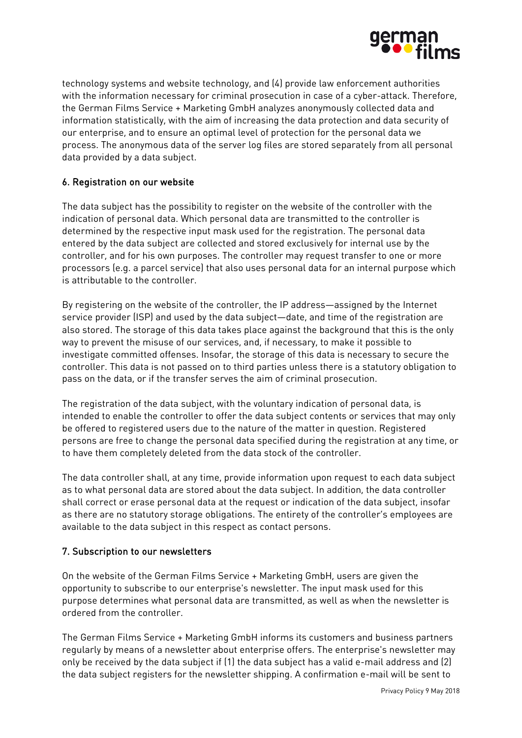

technology systems and website technology, and (4) provide law enforcement authorities with the information necessary for criminal prosecution in case of a cyber-attack. Therefore, the German Films Service + Marketing GmbH analyzes anonymously collected data and information statistically, with the aim of increasing the data protection and data security of our enterprise, and to ensure an optimal level of protection for the personal data we process. The anonymous data of the server log files are stored separately from all personal data provided by a data subject.

## 6. Registration on our website

The data subject has the possibility to register on the website of the controller with the indication of personal data. Which personal data are transmitted to the controller is determined by the respective input mask used for the registration. The personal data entered by the data subject are collected and stored exclusively for internal use by the controller, and for his own purposes. The controller may request transfer to one or more processors (e.g. a parcel service) that also uses personal data for an internal purpose which is attributable to the controller.

By registering on the website of the controller, the IP address—assigned by the Internet service provider (ISP) and used by the data subject—date, and time of the registration are also stored. The storage of this data takes place against the background that this is the only way to prevent the misuse of our services, and, if necessary, to make it possible to investigate committed offenses. Insofar, the storage of this data is necessary to secure the controller. This data is not passed on to third parties unless there is a statutory obligation to pass on the data, or if the transfer serves the aim of criminal prosecution.

The registration of the data subject, with the voluntary indication of personal data, is intended to enable the controller to offer the data subject contents or services that may only be offered to registered users due to the nature of the matter in question. Registered persons are free to change the personal data specified during the registration at any time, or to have them completely deleted from the data stock of the controller.

The data controller shall, at any time, provide information upon request to each data subject as to what personal data are stored about the data subject. In addition, the data controller shall correct or erase personal data at the request or indication of the data subject, insofar as there are no statutory storage obligations. The entirety of the controller's employees are available to the data subject in this respect as contact persons.

## 7. Subscription to our newsletters

On the website of the German Films Service + Marketing GmbH, users are given the opportunity to subscribe to our enterprise's newsletter. The input mask used for this purpose determines what personal data are transmitted, as well as when the newsletter is ordered from the controller.

The German Films Service + Marketing GmbH informs its customers and business partners regularly by means of a newsletter about enterprise offers. The enterprise's newsletter may only be received by the data subject if (1) the data subject has a valid e-mail address and (2) the data subject registers for the newsletter shipping. A confirmation e-mail will be sent to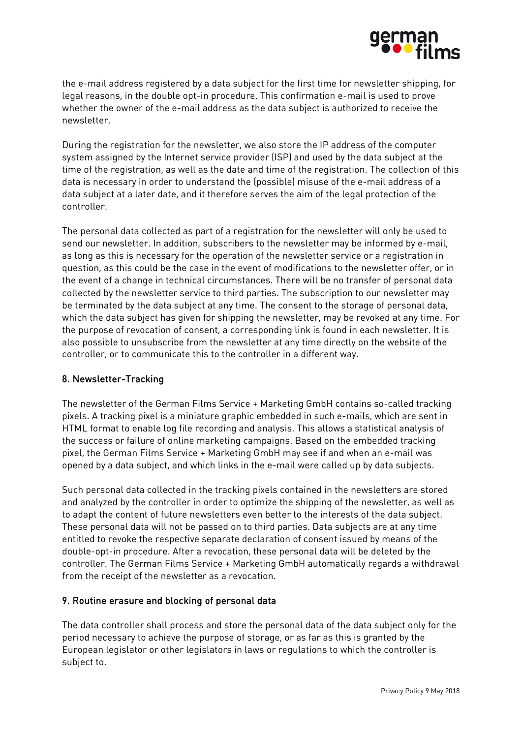

the e-mail address registered by a data subject for the first time for newsletter shipping, for legal reasons, in the double opt-in procedure. This confirmation e-mail is used to prove whether the owner of the e-mail address as the data subject is authorized to receive the newsletter.

During the registration for the newsletter, we also store the IP address of the computer system assigned by the Internet service provider (ISP) and used by the data subject at the time of the registration, as well as the date and time of the registration. The collection of this data is necessary in order to understand the (possible) misuse of the e-mail address of a data subject at a later date, and it therefore serves the aim of the legal protection of the controller.

The personal data collected as part of a registration for the newsletter will only be used to send our newsletter. In addition, subscribers to the newsletter may be informed by e-mail, as long as this is necessary for the operation of the newsletter service or a registration in question, as this could be the case in the event of modifications to the newsletter offer, or in the event of a change in technical circumstances. There will be no transfer of personal data collected by the newsletter service to third parties. The subscription to our newsletter may be terminated by the data subject at any time. The consent to the storage of personal data, which the data subject has given for shipping the newsletter, may be revoked at any time. For the purpose of revocation of consent, a corresponding link is found in each newsletter. It is also possible to unsubscribe from the newsletter at any time directly on the website of the controller, or to communicate this to the controller in a different way.

## 8. Newsletter-Tracking

The newsletter of the German Films Service + Marketing GmbH contains so-called tracking pixels. A tracking pixel is a miniature graphic embedded in such e-mails, which are sent in HTML format to enable log file recording and analysis. This allows a statistical analysis of the success or failure of online marketing campaigns. Based on the embedded tracking pixel, the German Films Service + Marketing GmbH may see if and when an e-mail was opened by a data subject, and which links in the e-mail were called up by data subjects.

Such personal data collected in the tracking pixels contained in the newsletters are stored and analyzed by the controller in order to optimize the shipping of the newsletter, as well as to adapt the content of future newsletters even better to the interests of the data subject. These personal data will not be passed on to third parties. Data subjects are at any time entitled to revoke the respective separate declaration of consent issued by means of the double-opt-in procedure. After a revocation, these personal data will be deleted by the controller. The German Films Service + Marketing GmbH automatically regards a withdrawal from the receipt of the newsletter as a revocation.

#### 9. Routine erasure and blocking of personal data

The data controller shall process and store the personal data of the data subject only for the period necessary to achieve the purpose of storage, or as far as this is granted by the European legislator or other legislators in laws or regulations to which the controller is subject to.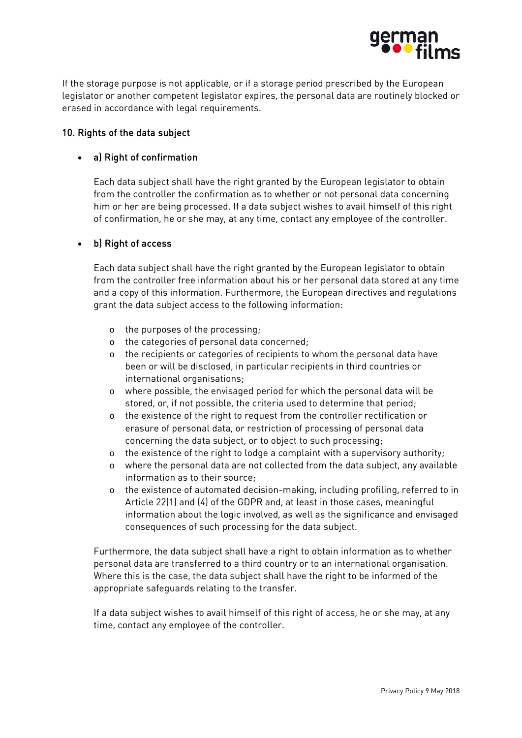

If the storage purpose is not applicable, or if a storage period prescribed by the European legislator or another competent legislator expires, the personal data are routinely blocked or erased in accordance with legal requirements.

#### 10. Rights of the data subject

### • a) Right of confirmation

Each data subject shall have the right granted by the European legislator to obtain from the controller the confirmation as to whether or not personal data concerning him or her are being processed. If a data subject wishes to avail himself of this right of confirmation, he or she may, at any time, contact any employee of the controller.

### • b) Right of access

Each data subject shall have the right granted by the European legislator to obtain from the controller free information about his or her personal data stored at any time and a copy of this information. Furthermore, the European directives and regulations grant the data subject access to the following information:

- o the purposes of the processing;
- o the categories of personal data concerned;
- o the recipients or categories of recipients to whom the personal data have been or will be disclosed, in particular recipients in third countries or international organisations;
- o where possible, the envisaged period for which the personal data will be stored, or, if not possible, the criteria used to determine that period;
- o the existence of the right to request from the controller rectification or erasure of personal data, or restriction of processing of personal data concerning the data subject, or to object to such processing;
- o the existence of the right to lodge a complaint with a supervisory authority;
- o where the personal data are not collected from the data subject, any available information as to their source;
- o the existence of automated decision-making, including profiling, referred to in Article 22(1) and (4) of the GDPR and, at least in those cases, meaningful information about the logic involved, as well as the significance and envisaged consequences of such processing for the data subject.

Furthermore, the data subject shall have a right to obtain information as to whether personal data are transferred to a third country or to an international organisation. Where this is the case, the data subject shall have the right to be informed of the appropriate safeguards relating to the transfer.

If a data subject wishes to avail himself of this right of access, he or she may, at any time, contact any employee of the controller.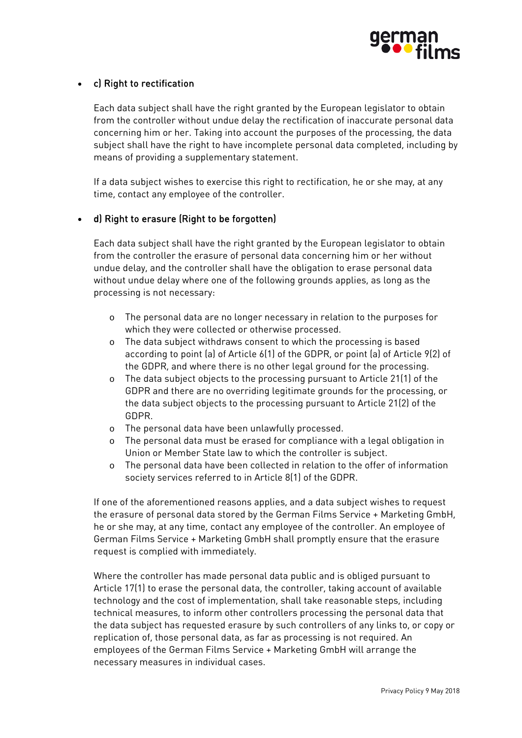

## • c) Right to rectification

Each data subject shall have the right granted by the European legislator to obtain from the controller without undue delay the rectification of inaccurate personal data concerning him or her. Taking into account the purposes of the processing, the data subject shall have the right to have incomplete personal data completed, including by means of providing a supplementary statement.

If a data subject wishes to exercise this right to rectification, he or she may, at any time, contact any employee of the controller.

### • d) Right to erasure (Right to be forgotten)

Each data subject shall have the right granted by the European legislator to obtain from the controller the erasure of personal data concerning him or her without undue delay, and the controller shall have the obligation to erase personal data without undue delay where one of the following grounds applies, as long as the processing is not necessary:

- o The personal data are no longer necessary in relation to the purposes for which they were collected or otherwise processed.
- o The data subject withdraws consent to which the processing is based according to point (a) of Article 6(1) of the GDPR, or point (a) of Article 9(2) of the GDPR, and where there is no other legal ground for the processing.
- o The data subject objects to the processing pursuant to Article 21(1) of the GDPR and there are no overriding legitimate grounds for the processing, or the data subject objects to the processing pursuant to Article 21(2) of the GDPR.
- o The personal data have been unlawfully processed.
- o The personal data must be erased for compliance with a legal obligation in Union or Member State law to which the controller is subject.
- o The personal data have been collected in relation to the offer of information society services referred to in Article 8(1) of the GDPR.

If one of the aforementioned reasons applies, and a data subject wishes to request the erasure of personal data stored by the German Films Service + Marketing GmbH, he or she may, at any time, contact any employee of the controller. An employee of German Films Service + Marketing GmbH shall promptly ensure that the erasure request is complied with immediately.

Where the controller has made personal data public and is obliged pursuant to Article 17(1) to erase the personal data, the controller, taking account of available technology and the cost of implementation, shall take reasonable steps, including technical measures, to inform other controllers processing the personal data that the data subject has requested erasure by such controllers of any links to, or copy or replication of, those personal data, as far as processing is not required. An employees of the German Films Service + Marketing GmbH will arrange the necessary measures in individual cases.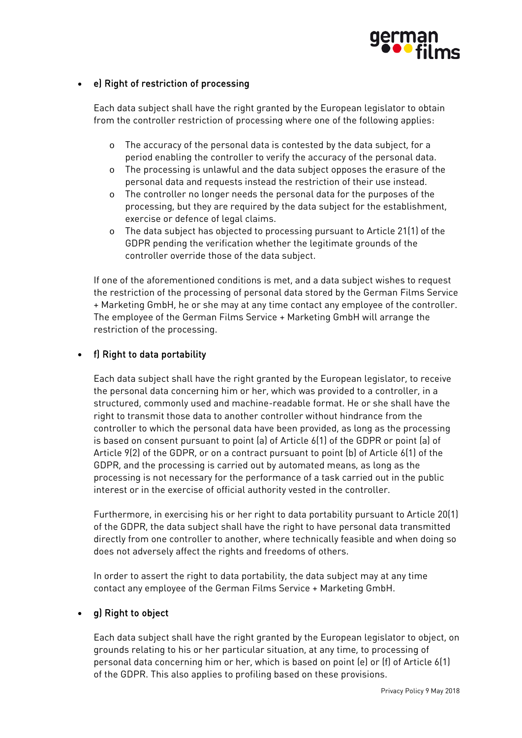

## • e) Right of restriction of processing

Each data subject shall have the right granted by the European legislator to obtain from the controller restriction of processing where one of the following applies:

- o The accuracy of the personal data is contested by the data subject, for a period enabling the controller to verify the accuracy of the personal data.
- o The processing is unlawful and the data subject opposes the erasure of the personal data and requests instead the restriction of their use instead.
- o The controller no longer needs the personal data for the purposes of the processing, but they are required by the data subject for the establishment, exercise or defence of legal claims.
- o The data subject has objected to processing pursuant to Article 21(1) of the GDPR pending the verification whether the legitimate grounds of the controller override those of the data subject.

If one of the aforementioned conditions is met, and a data subject wishes to request the restriction of the processing of personal data stored by the German Films Service + Marketing GmbH, he or she may at any time contact any employee of the controller. The employee of the German Films Service + Marketing GmbH will arrange the restriction of the processing.

## • f) Right to data portability

Each data subject shall have the right granted by the European legislator, to receive the personal data concerning him or her, which was provided to a controller, in a structured, commonly used and machine-readable format. He or she shall have the right to transmit those data to another controller without hindrance from the controller to which the personal data have been provided, as long as the processing is based on consent pursuant to point (a) of Article 6(1) of the GDPR or point (a) of Article 9(2) of the GDPR, or on a contract pursuant to point (b) of Article 6(1) of the GDPR, and the processing is carried out by automated means, as long as the processing is not necessary for the performance of a task carried out in the public interest or in the exercise of official authority vested in the controller.

Furthermore, in exercising his or her right to data portability pursuant to Article 20(1) of the GDPR, the data subject shall have the right to have personal data transmitted directly from one controller to another, where technically feasible and when doing so does not adversely affect the rights and freedoms of others.

In order to assert the right to data portability, the data subject may at any time contact any employee of the German Films Service + Marketing GmbH.

## g) Right to object

Each data subject shall have the right granted by the European legislator to object, on grounds relating to his or her particular situation, at any time, to processing of personal data concerning him or her, which is based on point (e) or (f) of Article 6(1) of the GDPR. This also applies to profiling based on these provisions.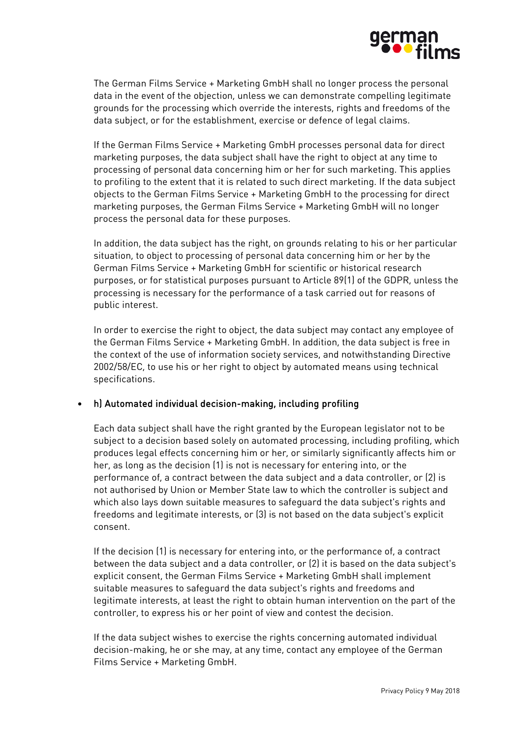

The German Films Service + Marketing GmbH shall no longer process the personal data in the event of the objection, unless we can demonstrate compelling legitimate grounds for the processing which override the interests, rights and freedoms of the data subject, or for the establishment, exercise or defence of legal claims.

If the German Films Service + Marketing GmbH processes personal data for direct marketing purposes, the data subject shall have the right to object at any time to processing of personal data concerning him or her for such marketing. This applies to profiling to the extent that it is related to such direct marketing. If the data subject objects to the German Films Service + Marketing GmbH to the processing for direct marketing purposes, the German Films Service + Marketing GmbH will no longer process the personal data for these purposes.

In addition, the data subject has the right, on grounds relating to his or her particular situation, to object to processing of personal data concerning him or her by the German Films Service + Marketing GmbH for scientific or historical research purposes, or for statistical purposes pursuant to Article 89(1) of the GDPR, unless the processing is necessary for the performance of a task carried out for reasons of public interest.

In order to exercise the right to object, the data subject may contact any employee of the German Films Service + Marketing GmbH. In addition, the data subject is free in the context of the use of information society services, and notwithstanding Directive 2002/58/EC, to use his or her right to object by automated means using technical specifications.

#### • h) Automated individual decision-making, including profiling

Each data subject shall have the right granted by the European legislator not to be subject to a decision based solely on automated processing, including profiling, which produces legal effects concerning him or her, or similarly significantly affects him or her, as long as the decision (1) is not is necessary for entering into, or the performance of, a contract between the data subject and a data controller, or (2) is not authorised by Union or Member State law to which the controller is subject and which also lays down suitable measures to safeguard the data subject's rights and freedoms and legitimate interests, or (3) is not based on the data subject's explicit consent.

If the decision (1) is necessary for entering into, or the performance of, a contract between the data subject and a data controller, or (2) it is based on the data subject's explicit consent, the German Films Service + Marketing GmbH shall implement suitable measures to safeguard the data subject's rights and freedoms and legitimate interests, at least the right to obtain human intervention on the part of the controller, to express his or her point of view and contest the decision.

If the data subject wishes to exercise the rights concerning automated individual decision-making, he or she may, at any time, contact any employee of the German Films Service + Marketing GmbH.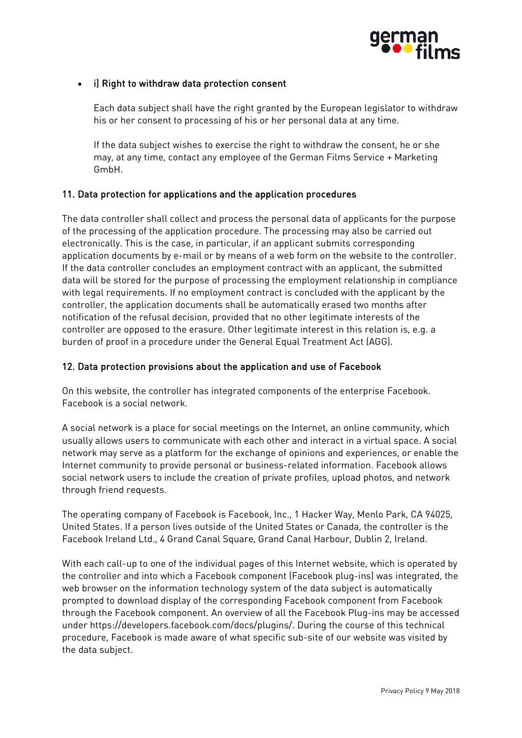

## • i) Right to withdraw data protection consent

Each data subject shall have the right granted by the European legislator to withdraw his or her consent to processing of his or her personal data at any time.

If the data subject wishes to exercise the right to withdraw the consent, he or she may, at any time, contact any employee of the German Films Service + Marketing GmbH.

### 11. Data protection for applications and the application procedures

The data controller shall collect and process the personal data of applicants for the purpose of the processing of the application procedure. The processing may also be carried out electronically. This is the case, in particular, if an applicant submits corresponding application documents by e-mail or by means of a web form on the website to the controller. If the data controller concludes an employment contract with an applicant, the submitted data will be stored for the purpose of processing the employment relationship in compliance with legal requirements. If no employment contract is concluded with the applicant by the controller, the application documents shall be automatically erased two months after notification of the refusal decision, provided that no other legitimate interests of the controller are opposed to the erasure. Other legitimate interest in this relation is, e.g. a burden of proof in a procedure under the General Equal Treatment Act (AGG).

### 12. Data protection provisions about the application and use of Facebook

On this website, the controller has integrated components of the enterprise Facebook. Facebook is a social network.

A social network is a place for social meetings on the Internet, an online community, which usually allows users to communicate with each other and interact in a virtual space. A social network may serve as a platform for the exchange of opinions and experiences, or enable the Internet community to provide personal or business-related information. Facebook allows social network users to include the creation of private profiles, upload photos, and network through friend requests.

The operating company of Facebook is Facebook, Inc., 1 Hacker Way, Menlo Park, CA 94025, United States. If a person lives outside of the United States or Canada, the controller is the Facebook Ireland Ltd., 4 Grand Canal Square, Grand Canal Harbour, Dublin 2, Ireland.

With each call-up to one of the individual pages of this Internet website, which is operated by the controller and into which a Facebook component (Facebook plug-ins) was integrated, the web browser on the information technology system of the data subject is automatically prompted to download display of the corresponding Facebook component from Facebook through the Facebook component. An overview of all the Facebook Plug-ins may be accessed under https://developers.facebook.com/docs/plugins/. During the course of this technical procedure, Facebook is made aware of what specific sub-site of our website was visited by the data subject.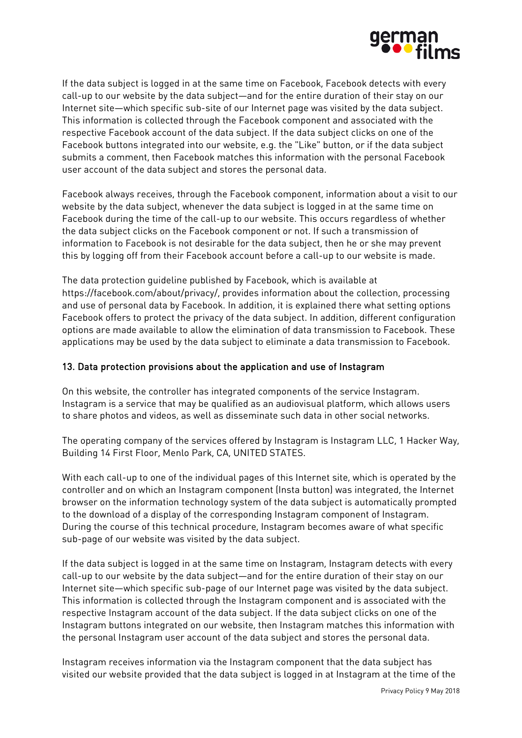

If the data subject is logged in at the same time on Facebook, Facebook detects with every call-up to our website by the data subject—and for the entire duration of their stay on our Internet site—which specific sub-site of our Internet page was visited by the data subject. This information is collected through the Facebook component and associated with the respective Facebook account of the data subject. If the data subject clicks on one of the Facebook buttons integrated into our website, e.g. the "Like" button, or if the data subject submits a comment, then Facebook matches this information with the personal Facebook user account of the data subject and stores the personal data.

Facebook always receives, through the Facebook component, information about a visit to our website by the data subject, whenever the data subject is logged in at the same time on Facebook during the time of the call-up to our website. This occurs regardless of whether the data subject clicks on the Facebook component or not. If such a transmission of information to Facebook is not desirable for the data subject, then he or she may prevent this by logging off from their Facebook account before a call-up to our website is made.

The data protection guideline published by Facebook, which is available at https://facebook.com/about/privacy/, provides information about the collection, processing and use of personal data by Facebook. In addition, it is explained there what setting options Facebook offers to protect the privacy of the data subject. In addition, different configuration options are made available to allow the elimination of data transmission to Facebook. These applications may be used by the data subject to eliminate a data transmission to Facebook.

### 13. Data protection provisions about the application and use of Instagram

On this website, the controller has integrated components of the service Instagram. Instagram is a service that may be qualified as an audiovisual platform, which allows users to share photos and videos, as well as disseminate such data in other social networks.

The operating company of the services offered by Instagram is Instagram LLC, 1 Hacker Way, Building 14 First Floor, Menlo Park, CA, UNITED STATES.

With each call-up to one of the individual pages of this Internet site, which is operated by the controller and on which an Instagram component (Insta button) was integrated, the Internet browser on the information technology system of the data subject is automatically prompted to the download of a display of the corresponding Instagram component of Instagram. During the course of this technical procedure, Instagram becomes aware of what specific sub-page of our website was visited by the data subject.

If the data subject is logged in at the same time on Instagram, Instagram detects with every call-up to our website by the data subject—and for the entire duration of their stay on our Internet site—which specific sub-page of our Internet page was visited by the data subject. This information is collected through the Instagram component and is associated with the respective Instagram account of the data subject. If the data subject clicks on one of the Instagram buttons integrated on our website, then Instagram matches this information with the personal Instagram user account of the data subject and stores the personal data.

Instagram receives information via the Instagram component that the data subject has visited our website provided that the data subject is logged in at Instagram at the time of the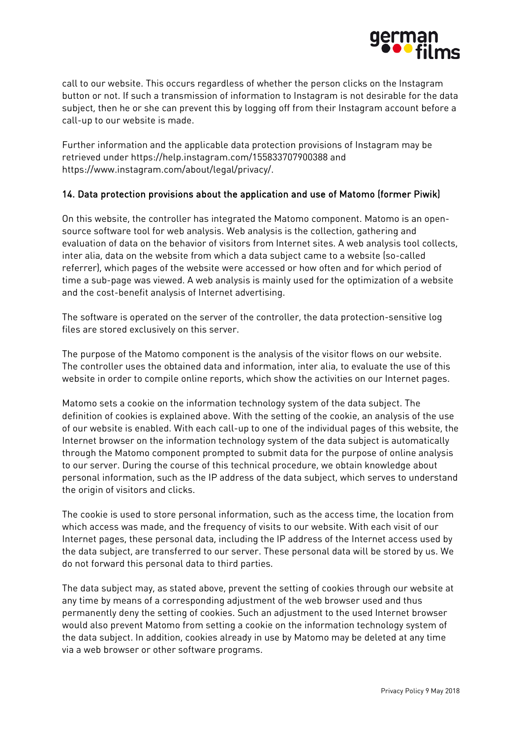

call to our website. This occurs regardless of whether the person clicks on the Instagram button or not. If such a transmission of information to Instagram is not desirable for the data subject, then he or she can prevent this by logging off from their Instagram account before a call-up to our website is made.

Further information and the applicable data protection provisions of Instagram may be retrieved under https://help.instagram.com/155833707900388 and https://www.instagram.com/about/legal/privacy/.

### 14. Data protection provisions about the application and use of Matomo (former Piwik)

On this website, the controller has integrated the Matomo component. Matomo is an opensource software tool for web analysis. Web analysis is the collection, gathering and evaluation of data on the behavior of visitors from Internet sites. A web analysis tool collects, inter alia, data on the website from which a data subject came to a website (so-called referrer), which pages of the website were accessed or how often and for which period of time a sub-page was viewed. A web analysis is mainly used for the optimization of a website and the cost-benefit analysis of Internet advertising.

The software is operated on the server of the controller, the data protection-sensitive log files are stored exclusively on this server.

The purpose of the Matomo component is the analysis of the visitor flows on our website. The controller uses the obtained data and information, inter alia, to evaluate the use of this website in order to compile online reports, which show the activities on our Internet pages.

Matomo sets a cookie on the information technology system of the data subject. The definition of cookies is explained above. With the setting of the cookie, an analysis of the use of our website is enabled. With each call-up to one of the individual pages of this website, the Internet browser on the information technology system of the data subject is automatically through the Matomo component prompted to submit data for the purpose of online analysis to our server. During the course of this technical procedure, we obtain knowledge about personal information, such as the IP address of the data subject, which serves to understand the origin of visitors and clicks.

The cookie is used to store personal information, such as the access time, the location from which access was made, and the frequency of visits to our website. With each visit of our Internet pages, these personal data, including the IP address of the Internet access used by the data subject, are transferred to our server. These personal data will be stored by us. We do not forward this personal data to third parties.

The data subject may, as stated above, prevent the setting of cookies through our website at any time by means of a corresponding adjustment of the web browser used and thus permanently deny the setting of cookies. Such an adjustment to the used Internet browser would also prevent Matomo from setting a cookie on the information technology system of the data subject. In addition, cookies already in use by Matomo may be deleted at any time via a web browser or other software programs.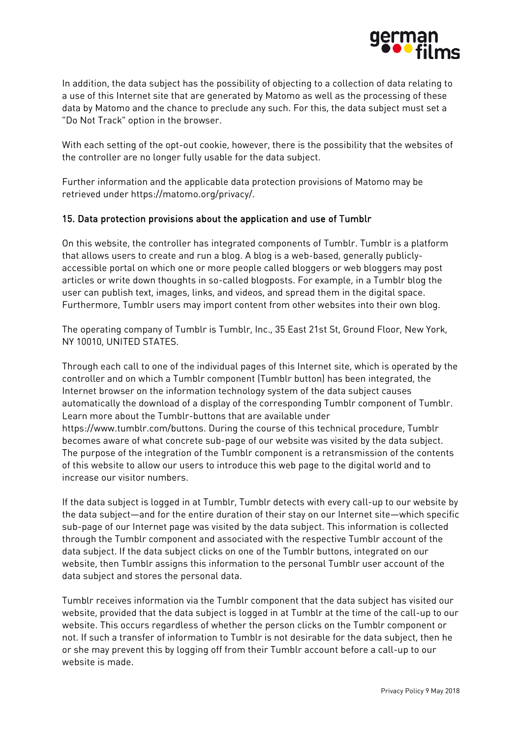

In addition, the data subject has the possibility of objecting to a collection of data relating to a use of this Internet site that are generated by Matomo as well as the processing of these data by Matomo and the chance to preclude any such. For this, the data subject must set a "Do Not Track" option in the browser.

With each setting of the opt-out cookie, however, there is the possibility that the websites of the controller are no longer fully usable for the data subject.

Further information and the applicable data protection provisions of Matomo may be retrieved under https://matomo.org/privacy/.

### 15. Data protection provisions about the application and use of Tumblr

On this website, the controller has integrated components of Tumblr. Tumblr is a platform that allows users to create and run a blog. A blog is a web-based, generally publiclyaccessible portal on which one or more people called bloggers or web bloggers may post articles or write down thoughts in so-called blogposts. For example, in a Tumblr blog the user can publish text, images, links, and videos, and spread them in the digital space. Furthermore, Tumblr users may import content from other websites into their own blog.

The operating company of Tumblr is Tumblr, Inc., 35 East 21st St, Ground Floor, New York, NY 10010, UNITED STATES.

Through each call to one of the individual pages of this Internet site, which is operated by the controller and on which a Tumblr component (Tumblr button) has been integrated, the Internet browser on the information technology system of the data subject causes automatically the download of a display of the corresponding Tumblr component of Tumblr. Learn more about the Tumblr-buttons that are available under https://www.tumblr.com/buttons. During the course of this technical procedure, Tumblr becomes aware of what concrete sub-page of our website was visited by the data subject. The purpose of the integration of the Tumblr component is a retransmission of the contents of this website to allow our users to introduce this web page to the digital world and to increase our visitor numbers.

If the data subject is logged in at Tumblr, Tumblr detects with every call-up to our website by the data subject—and for the entire duration of their stay on our Internet site—which specific sub-page of our Internet page was visited by the data subject. This information is collected through the Tumblr component and associated with the respective Tumblr account of the data subject. If the data subject clicks on one of the Tumblr buttons, integrated on our website, then Tumblr assigns this information to the personal Tumblr user account of the data subject and stores the personal data.

Tumblr receives information via the Tumblr component that the data subject has visited our website, provided that the data subject is logged in at Tumblr at the time of the call-up to our website. This occurs regardless of whether the person clicks on the Tumblr component or not. If such a transfer of information to Tumblr is not desirable for the data subject, then he or she may prevent this by logging off from their Tumblr account before a call-up to our website is made.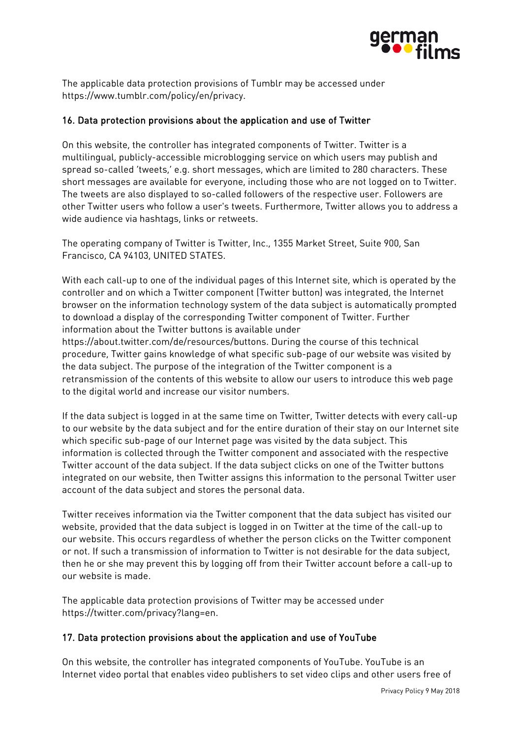

The applicable data protection provisions of Tumblr may be accessed under https://www.tumblr.com/policy/en/privacy.

## 16. Data protection provisions about the application and use of Twitter

On this website, the controller has integrated components of Twitter. Twitter is a multilingual, publicly-accessible microblogging service on which users may publish and spread so-called 'tweets,' e.g. short messages, which are limited to 280 characters. These short messages are available for everyone, including those who are not logged on to Twitter. The tweets are also displayed to so-called followers of the respective user. Followers are other Twitter users who follow a user's tweets. Furthermore, Twitter allows you to address a wide audience via hashtags, links or retweets.

The operating company of Twitter is Twitter, Inc., 1355 Market Street, Suite 900, San Francisco, CA 94103, UNITED STATES.

With each call-up to one of the individual pages of this Internet site, which is operated by the controller and on which a Twitter component (Twitter button) was integrated, the Internet browser on the information technology system of the data subject is automatically prompted to download a display of the corresponding Twitter component of Twitter. Further information about the Twitter buttons is available under https://about.twitter.com/de/resources/buttons. During the course of this technical procedure, Twitter gains knowledge of what specific sub-page of our website was visited by

the data subject. The purpose of the integration of the Twitter component is a retransmission of the contents of this website to allow our users to introduce this web page to the digital world and increase our visitor numbers.

If the data subject is logged in at the same time on Twitter, Twitter detects with every call-up to our website by the data subject and for the entire duration of their stay on our Internet site which specific sub-page of our Internet page was visited by the data subject. This information is collected through the Twitter component and associated with the respective Twitter account of the data subject. If the data subject clicks on one of the Twitter buttons integrated on our website, then Twitter assigns this information to the personal Twitter user account of the data subject and stores the personal data.

Twitter receives information via the Twitter component that the data subject has visited our website, provided that the data subject is logged in on Twitter at the time of the call-up to our website. This occurs regardless of whether the person clicks on the Twitter component or not. If such a transmission of information to Twitter is not desirable for the data subject, then he or she may prevent this by logging off from their Twitter account before a call-up to our website is made.

The applicable data protection provisions of Twitter may be accessed under https://twitter.com/privacy?lang=en.

## 17. Data protection provisions about the application and use of YouTube

On this website, the controller has integrated components of YouTube. YouTube is an Internet video portal that enables video publishers to set video clips and other users free of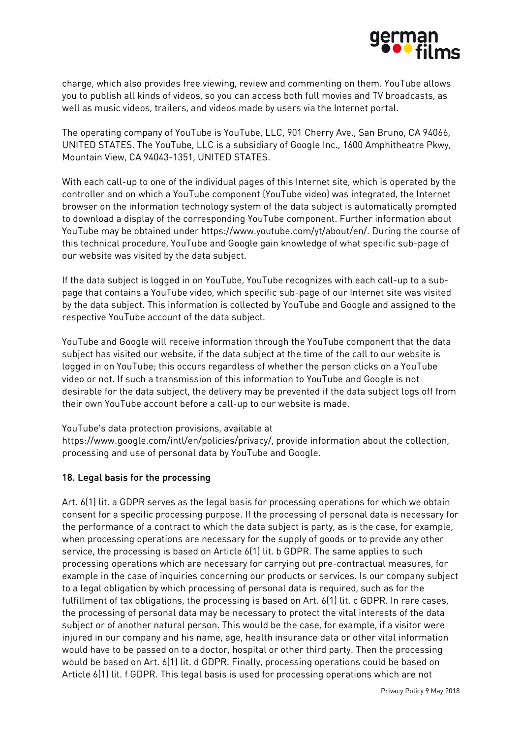

charge, which also provides free viewing, review and commenting on them. YouTube allows you to publish all kinds of videos, so you can access both full movies and TV broadcasts, as well as music videos, trailers, and videos made by users via the Internet portal.

The operating company of YouTube is YouTube, LLC, 901 Cherry Ave., San Bruno, CA 94066, UNITED STATES. The YouTube, LLC is a subsidiary of Google Inc., 1600 Amphitheatre Pkwy, Mountain View, CA 94043-1351, UNITED STATES.

With each call-up to one of the individual pages of this Internet site, which is operated by the controller and on which a YouTube component (YouTube video) was integrated, the Internet browser on the information technology system of the data subject is automatically prompted to download a display of the corresponding YouTube component. Further information about YouTube may be obtained under https://www.youtube.com/yt/about/en/. During the course of this technical procedure, YouTube and Google gain knowledge of what specific sub-page of our website was visited by the data subject.

If the data subject is logged in on YouTube, YouTube recognizes with each call-up to a subpage that contains a YouTube video, which specific sub-page of our Internet site was visited by the data subject. This information is collected by YouTube and Google and assigned to the respective YouTube account of the data subject.

YouTube and Google will receive information through the YouTube component that the data subject has visited our website, if the data subject at the time of the call to our website is logged in on YouTube; this occurs regardless of whether the person clicks on a YouTube video or not. If such a transmission of this information to YouTube and Google is not desirable for the data subject, the delivery may be prevented if the data subject logs off from their own YouTube account before a call-up to our website is made.

YouTube's data protection provisions, available at

https://www.google.com/intl/en/policies/privacy/, provide information about the collection, processing and use of personal data by YouTube and Google.

## 18. Legal basis for the processing

Art. 6(1) lit. a GDPR serves as the legal basis for processing operations for which we obtain consent for a specific processing purpose. If the processing of personal data is necessary for the performance of a contract to which the data subject is party, as is the case, for example, when processing operations are necessary for the supply of goods or to provide any other service, the processing is based on Article 6(1) lit. b GDPR. The same applies to such processing operations which are necessary for carrying out pre-contractual measures, for example in the case of inquiries concerning our products or services. Is our company subject to a legal obligation by which processing of personal data is required, such as for the fulfillment of tax obligations, the processing is based on Art. 6(1) lit. c GDPR. In rare cases, the processing of personal data may be necessary to protect the vital interests of the data subject or of another natural person. This would be the case, for example, if a visitor were injured in our company and his name, age, health insurance data or other vital information would have to be passed on to a doctor, hospital or other third party. Then the processing would be based on Art. 6(1) lit. d GDPR. Finally, processing operations could be based on Article 6(1) lit. f GDPR. This legal basis is used for processing operations which are not